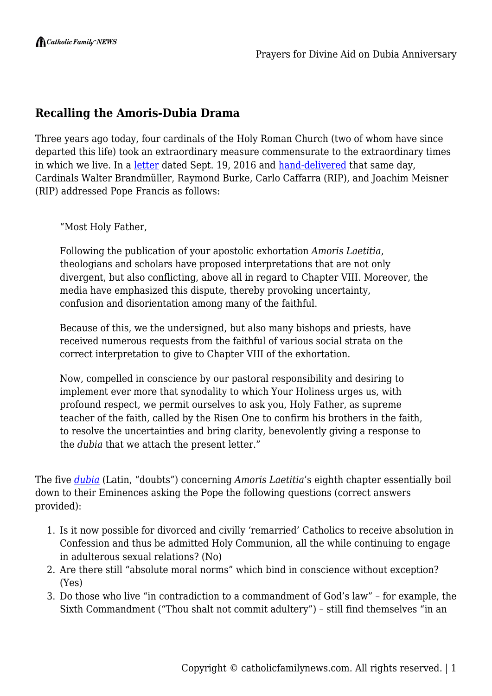## **Recalling the Amoris-Dubia Drama**

Three years ago today, four cardinals of the Holy Roman Church (two of whom have since departed this life) took an extraordinary measure commensurate to the extraordinary times in which we live. In a [letter](http://www.ncregister.com/blog/edward-pentin/full-text-and-explanatory-notes-of-cardinals-questions-on-amoris-laetitia) dated Sept. 19, 2016 and [hand-delivered](https://www.lifesitenews.com/news/breaking-cardinal-burke-responds-to-francis-we-hand-delivered-dubia-letter) that same day, Cardinals Walter Brandmüller, Raymond Burke, Carlo Caffarra (RIP), and Joachim Meisner (RIP) addressed Pope Francis as follows:

"Most Holy Father,

Following the publication of your apostolic exhortation *Amoris Laetitia*, theologians and scholars have proposed interpretations that are not only divergent, but also conflicting, above all in regard to Chapter VIII. Moreover, the media have emphasized this dispute, thereby provoking uncertainty, confusion and disorientation among many of the faithful.

Because of this, we the undersigned, but also many bishops and priests, have received numerous requests from the faithful of various social strata on the correct interpretation to give to Chapter VIII of the exhortation.

Now, compelled in conscience by our pastoral responsibility and desiring to implement ever more that synodality to which Your Holiness urges us, with profound respect, we permit ourselves to ask you, Holy Father, as supreme teacher of the faith, called by the Risen One to confirm his brothers in the faith, to resolve the uncertainties and bring clarity, benevolently giving a response to the *dubia* that we attach the present letter."

The five *[dubia](http://www.ncregister.com/blog/edward-pentin/full-text-and-explanatory-notes-of-cardinals-questions-on-amoris-laetitia)* (Latin, "doubts") concerning *Amoris Laetitia*'s eighth chapter essentially boil down to their Eminences asking the Pope the following questions (correct answers provided):

- 1. Is it now possible for divorced and civilly 'remarried' Catholics to receive absolution in Confession and thus be admitted Holy Communion, all the while continuing to engage in adulterous sexual relations? (No)
- 2. Are there still "absolute moral norms" which bind in conscience without exception? (Yes)
- 3. Do those who live "in contradiction to a commandment of God's law" for example, the Sixth Commandment ("Thou shalt not commit adultery") – still find themselves "in an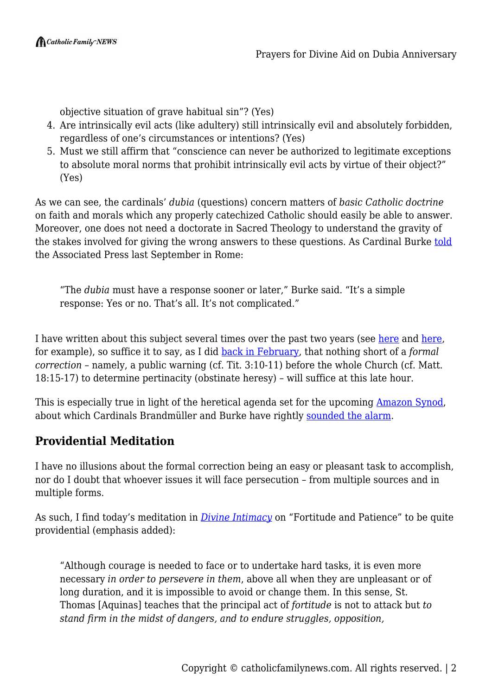objective situation of grave habitual sin"? (Yes)

- 4. Are intrinsically evil acts (like adultery) still intrinsically evil and absolutely forbidden, regardless of one's circumstances or intentions? (Yes)
- 5. Must we still affirm that "conscience can never be authorized to legitimate exceptions to absolute moral norms that prohibit intrinsically evil acts by virtue of their object?" (Yes)

As we can see, the cardinals' *dubia* (questions) concern matters of *basic Catholic doctrine* on faith and morals which any properly catechized Catholic should easily be able to answer. Moreover, one does not need a doctorate in Sacred Theology to understand the gravity of the stakes involved for giving the wrong answers to these questions. As Cardinal Burke [told](https://apnews.com/6a0eef0fa28f47abafc243e9ac06e5cd) the Associated Press last September in Rome:

"The *dubia* must have a response sooner or later," Burke said. "It's a simple response: Yes or no. That's all. It's not complicated."

I have written about this subject several times over the past two years (see [here](https://catholicfamilynews.com/blog/2018/02/01/onward-catholic-soldiers-resisting-pope-francis-with-or-without-the-hierarchy/) and [here](https://catholicfamilynews.com/blog/2018/09/15/the-forgotten-crisis-papal-propagation-of-heresies/), for example), so suffice it to say, as I did [back in February,](https://catholicfamilynews.com/blog/2019/02/23/a-decisive-act-now-is-urgent-and-necessary-precisely-why-we-need-the-formal-correction/) that nothing short of a *formal correction* – namely, a public warning (cf. Tit. 3:10-11) before the whole Church (cf. Matt. 18:15-17) to determine pertinacity (obstinate heresy) – will suffice at this late hour.

This is especially true in light of the heretical agenda set for the upcoming [Amazon Synod,](https://catholicfamilynews.com/blog/2019/07/05/amazon-synod-poised-to-wage-total-war-on-catholic-faith-our-resistance-must-be-equally-forceful/) about which Cardinals Brandmüller and Burke have rightly [sounded the alarm](https://catholicfamilynews.com/blog/2019/09/05/cardinals-brandmuller-and-burke-sound-the-alarm-on-synod-but-will-they-act/).

## **Providential Meditation**

I have no illusions about the formal correction being an easy or pleasant task to accomplish, nor do I doubt that whoever issues it will face persecution – from multiple sources and in multiple forms.

As such, I find today's meditation in *[Divine Intimacy](https://www.baroniuspress.com/book.php?wid=56&bid=48#tab=tab-1)* on "Fortitude and Patience" to be quite providential (emphasis added):

"Although courage is needed to face or to undertake hard tasks, it is even more necessary *in order to persevere in them*, above all when they are unpleasant or of long duration, and it is impossible to avoid or change them. In this sense, St. Thomas [Aquinas] teaches that the principal act of *fortitude* is not to attack but *to stand firm in the midst of dangers, and to endure struggles, opposition,*